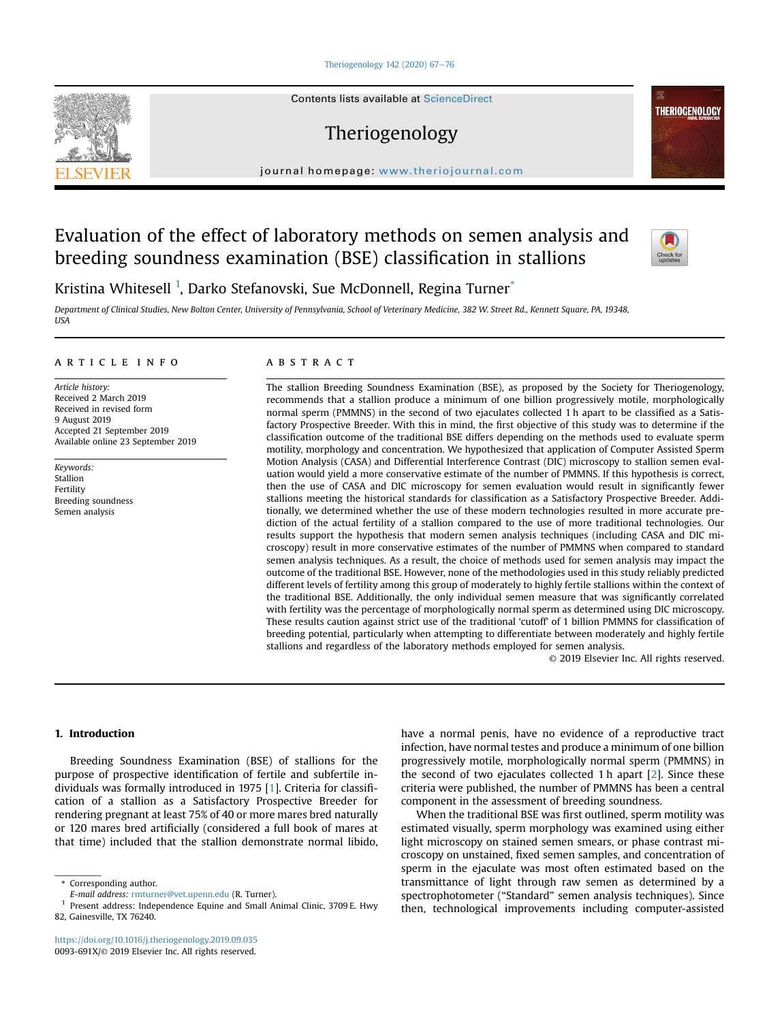# Theriogenology  $142$  (2020) 67-[76](https://doi.org/10.1016/j.theriogenology.2019.09.035)

Contents lists available at ScienceDirect

# Theriogenology

journal homepage: <www.theriojournal.com>

# Evaluation of the effect of laboratory methods on semen analysis and breeding soundness examination (BSE) classification in stallions



**THERIOGENOLOGY** 

Kristina Whitesell <sup>1</sup>, Darko Stefanovski, Sue McDonnell, Regina Turner $^{\ast}$ 

Department of Clinical Studies, New Bolton Center, University of Pennsylvania, School of Veterinary Medicine, 382 W. Street Rd., Kennett Square, PA, 19348, USA

## article info

Article history: Received 2 March 2019 Received in revised form 9 August 2019 Accepted 21 September 2019 Available online 23 September 2019

Keywords: Stallion Fertility Breeding soundness Semen analysis

## ABSTRACT

The stallion Breeding Soundness Examination (BSE), as proposed by the Society for Theriogenology, recommends that a stallion produce a minimum of one billion progressively motile, morphologically normal sperm (PMMNS) in the second of two ejaculates collected 1 h apart to be classified as a Satisfactory Prospective Breeder. With this in mind, the first objective of this study was to determine if the classification outcome of the traditional BSE differs depending on the methods used to evaluate sperm motility, morphology and concentration. We hypothesized that application of Computer Assisted Sperm Motion Analysis (CASA) and Differential Interference Contrast (DIC) microscopy to stallion semen evaluation would yield a more conservative estimate of the number of PMMNS. If this hypothesis is correct, then the use of CASA and DIC microscopy for semen evaluation would result in significantly fewer stallions meeting the historical standards for classification as a Satisfactory Prospective Breeder. Additionally, we determined whether the use of these modern technologies resulted in more accurate prediction of the actual fertility of a stallion compared to the use of more traditional technologies. Our results support the hypothesis that modern semen analysis techniques (including CASA and DIC microscopy) result in more conservative estimates of the number of PMMNS when compared to standard semen analysis techniques. As a result, the choice of methods used for semen analysis may impact the outcome of the traditional BSE. However, none of the methodologies used in this study reliably predicted different levels of fertility among this group of moderately to highly fertile stallions within the context of the traditional BSE. Additionally, the only individual semen measure that was significantly correlated with fertility was the percentage of morphologically normal sperm as determined using DIC microscopy. These results caution against strict use of the traditional 'cutoff' of 1 billion PMMNS for classification of breeding potential, particularly when attempting to differentiate between moderately and highly fertile stallions and regardless of the laboratory methods employed for semen analysis.

© 2019 Elsevier Inc. All rights reserved.

## 1. Introduction

Breeding Soundness Examination (BSE) of stallions for the purpose of prospective identification of fertile and subfertile individuals was formally introduced in 1975 [[1\]](#page-9-0). Criteria for classification of a stallion as a Satisfactory Prospective Breeder for rendering pregnant at least 75% of 40 or more mares bred naturally or 120 mares bred artificially (considered a full book of mares at that time) included that the stallion demonstrate normal libido,

have a normal penis, have no evidence of a reproductive tract infection, have normal testes and produce a minimum of one billion progressively motile, morphologically normal sperm (PMMNS) in the second of two ejaculates collected 1 h apart [[2](#page-9-0)]. Since these criteria were published, the number of PMMNS has been a central component in the assessment of breeding soundness.

When the traditional BSE was first outlined, sperm motility was estimated visually, sperm morphology was examined using either light microscopy on stained semen smears, or phase contrast microscopy on unstained, fixed semen samples, and concentration of sperm in the ejaculate was most often estimated based on the transmittance of light through raw semen as determined by a spectrophotometer ("Standard" semen analysis techniques). Since then, technological improvements including computer-assisted

<sup>\*</sup> Corresponding author.

E-mail address: [rmturner@vet.upenn.edu](mailto:rmturner@vet.upenn.edu) (R. Turner).

Present address: Independence Equine and Small Animal Clinic, 3709 E. Hwy 82, Gainesville, TX 76240.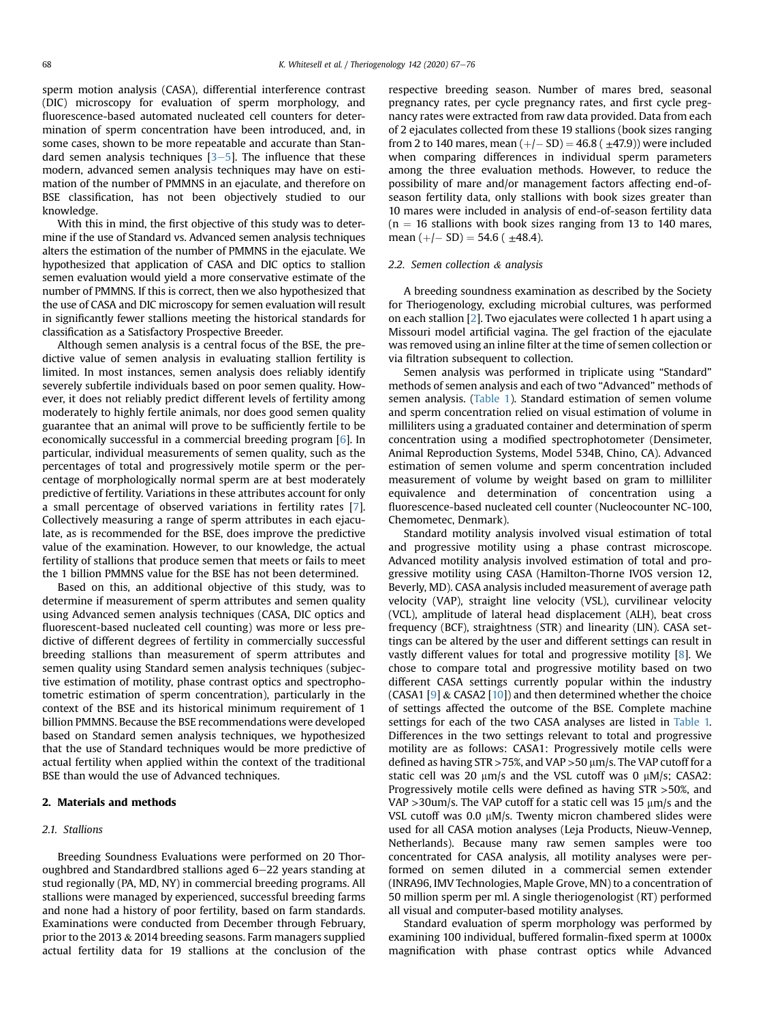<span id="page-1-0"></span>sperm motion analysis (CASA), differential interference contrast (DIC) microscopy for evaluation of sperm morphology, and fluorescence-based automated nucleated cell counters for determination of sperm concentration have been introduced, and, in some cases, shown to be more repeatable and accurate than Standard semen analysis techniques  $[3-5]$  $[3-5]$  $[3-5]$  $[3-5]$ . The influence that these modern, advanced semen analysis techniques may have on estimation of the number of PMMNS in an ejaculate, and therefore on BSE classification, has not been objectively studied to our knowledge.

With this in mind, the first objective of this study was to determine if the use of Standard vs. Advanced semen analysis techniques alters the estimation of the number of PMMNS in the ejaculate. We hypothesized that application of CASA and DIC optics to stallion semen evaluation would yield a more conservative estimate of the number of PMMNS. If this is correct, then we also hypothesized that the use of CASA and DIC microscopy for semen evaluation will result in significantly fewer stallions meeting the historical standards for classification as a Satisfactory Prospective Breeder.

Although semen analysis is a central focus of the BSE, the predictive value of semen analysis in evaluating stallion fertility is limited. In most instances, semen analysis does reliably identify severely subfertile individuals based on poor semen quality. However, it does not reliably predict different levels of fertility among moderately to highly fertile animals, nor does good semen quality guarantee that an animal will prove to be sufficiently fertile to be economically successful in a commercial breeding program [\[6\]](#page-9-0). In particular, individual measurements of semen quality, such as the percentages of total and progressively motile sperm or the percentage of morphologically normal sperm are at best moderately predictive of fertility. Variations in these attributes account for only a small percentage of observed variations in fertility rates [\[7](#page-9-0)]. Collectively measuring a range of sperm attributes in each ejaculate, as is recommended for the BSE, does improve the predictive value of the examination. However, to our knowledge, the actual fertility of stallions that produce semen that meets or fails to meet the 1 billion PMMNS value for the BSE has not been determined.

Based on this, an additional objective of this study, was to determine if measurement of sperm attributes and semen quality using Advanced semen analysis techniques (CASA, DIC optics and fluorescent-based nucleated cell counting) was more or less predictive of different degrees of fertility in commercially successful breeding stallions than measurement of sperm attributes and semen quality using Standard semen analysis techniques (subjective estimation of motility, phase contrast optics and spectrophotometric estimation of sperm concentration), particularly in the context of the BSE and its historical minimum requirement of 1 billion PMMNS. Because the BSE recommendations were developed based on Standard semen analysis techniques, we hypothesized that the use of Standard techniques would be more predictive of actual fertility when applied within the context of the traditional BSE than would the use of Advanced techniques.

# 2. Materials and methods

## 2.1. Stallions

Breeding Soundness Evaluations were performed on 20 Thoroughbred and Standardbred stallions aged  $6-22$  years standing at stud regionally (PA, MD, NY) in commercial breeding programs. All stallions were managed by experienced, successful breeding farms and none had a history of poor fertility, based on farm standards. Examinations were conducted from December through February, prior to the 2013 & 2014 breeding seasons. Farm managers supplied actual fertility data for 19 stallions at the conclusion of the respective breeding season. Number of mares bred, seasonal pregnancy rates, per cycle pregnancy rates, and first cycle pregnancy rates were extracted from raw data provided. Data from each of 2 ejaculates collected from these 19 stallions (book sizes ranging from 2 to 140 mares, mean  $(+/- SD) = 46.8 (\pm 47.9)$ ) were included when comparing differences in individual sperm parameters among the three evaluation methods. However, to reduce the possibility of mare and/or management factors affecting end-ofseason fertility data, only stallions with book sizes greater than 10 mares were included in analysis of end-of-season fertility data  $(n = 16$  stallions with book sizes ranging from 13 to 140 mares, mean  $(+/- SD) = 54.6$  ( $\pm 48.4$ ).

#### 2.2. Semen collection & analysis

A breeding soundness examination as described by the Society for Theriogenology, excluding microbial cultures, was performed on each stallion [\[2](#page-9-0)]. Two ejaculates were collected 1 h apart using a Missouri model artificial vagina. The gel fraction of the ejaculate was removed using an inline filter at the time of semen collection or via filtration subsequent to collection.

Semen analysis was performed in triplicate using "Standard" methods of semen analysis and each of two "Advanced" methods of semen analysis. [\(Table 1](#page-2-0)). Standard estimation of semen volume and sperm concentration relied on visual estimation of volume in milliliters using a graduated container and determination of sperm concentration using a modified spectrophotometer (Densimeter, Animal Reproduction Systems, Model 534B, Chino, CA). Advanced estimation of semen volume and sperm concentration included measurement of volume by weight based on gram to milliliter equivalence and determination of concentration using a fluorescence-based nucleated cell counter (Nucleocounter NC-100, Chemometec, Denmark).

Standard motility analysis involved visual estimation of total and progressive motility using a phase contrast microscope. Advanced motility analysis involved estimation of total and progressive motility using CASA (Hamilton-Thorne IVOS version 12, Beverly, MD). CASA analysis included measurement of average path velocity (VAP), straight line velocity (VSL), curvilinear velocity (VCL), amplitude of lateral head displacement (ALH), beat cross frequency (BCF), straightness (STR) and linearity (LIN). CASA settings can be altered by the user and different settings can result in vastly different values for total and progressive motility [\[8\]](#page-9-0). We chose to compare total and progressive motility based on two different CASA settings currently popular within the industry (CASA1  $[9]$  $[9]$  & CASA2  $[10]$  $[10]$ ) and then determined whether the choice of settings affected the outcome of the BSE. Complete machine settings for each of the two CASA analyses are listed in [Table 1.](#page-2-0) Differences in the two settings relevant to total and progressive motility are as follows: CASA1: Progressively motile cells were defined as having STR > 75%, and VAP > 50  $\mu$ m/s. The VAP cutoff for a static cell was 20  $\mu$ m/s and the VSL cutoff was 0  $\mu$ M/s; CASA2: Progressively motile cells were defined as having STR >50%, and VAP >30um/s. The VAP cutoff for a static cell was 15  $\mu$ m/s and the VSL cutoff was 0.0  $\mu$ M/s. Twenty micron chambered slides were used for all CASA motion analyses (Leja Products, Nieuw-Vennep, Netherlands). Because many raw semen samples were too concentrated for CASA analysis, all motility analyses were performed on semen diluted in a commercial semen extender (INRA96, IMV Technologies, Maple Grove, MN) to a concentration of 50 million sperm per ml. A single theriogenologist (RT) performed all visual and computer-based motility analyses.

Standard evaluation of sperm morphology was performed by examining 100 individual, buffered formalin-fixed sperm at 1000x magnification with phase contrast optics while Advanced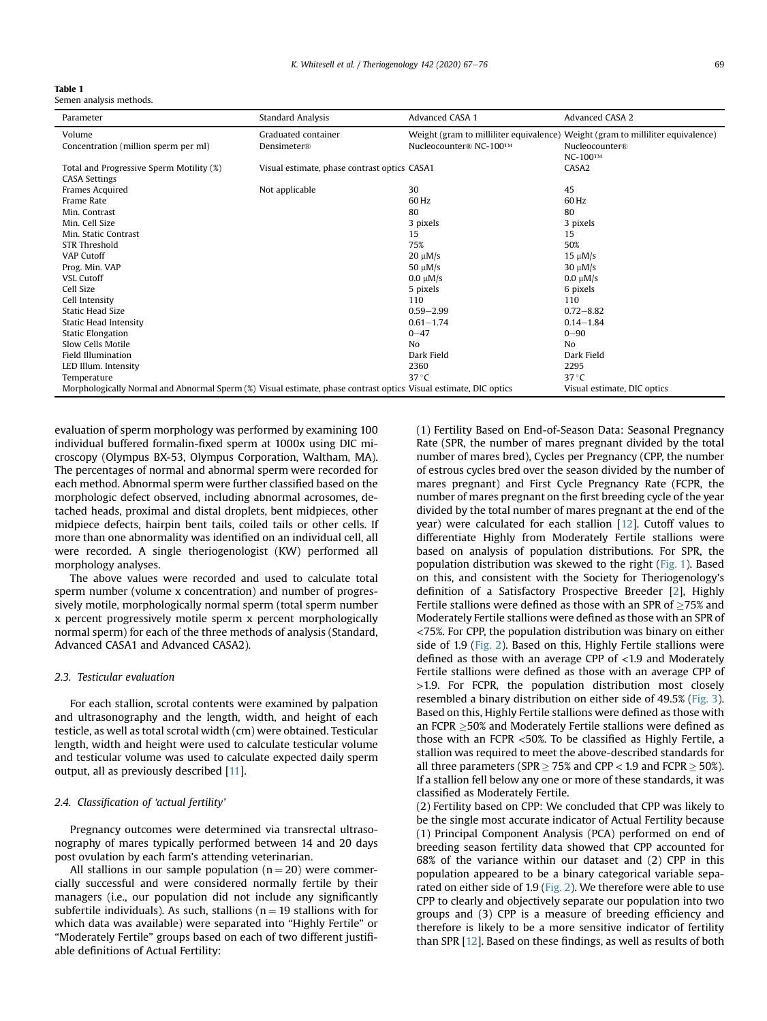<span id="page-2-0"></span>

| L<br>I<br>., |  |  |
|--------------|--|--|
|--------------|--|--|

Semen analysis methods.

| Parameter                                                                                                        | <b>Standard Analysis</b>                     | Advanced CASA 1        | Advanced CASA 2                                                                 |
|------------------------------------------------------------------------------------------------------------------|----------------------------------------------|------------------------|---------------------------------------------------------------------------------|
| Volume                                                                                                           | Graduated container                          |                        | Weight (gram to milliliter equivalence) Weight (gram to milliliter equivalence) |
| Concentration (million sperm per ml)                                                                             | Densimeter®                                  | Nucleocounter® NC-100™ | Nucleocounter®                                                                  |
|                                                                                                                  |                                              |                        | $NC-100^{TM}$                                                                   |
| Total and Progressive Sperm Motility (%)                                                                         | Visual estimate, phase contrast optics CASA1 |                        | CASA <sub>2</sub>                                                               |
| <b>CASA Settings</b>                                                                                             |                                              |                        |                                                                                 |
| Frames Acquired                                                                                                  | Not applicable                               | 30                     | 45                                                                              |
| Frame Rate                                                                                                       |                                              | 60 Hz                  | 60 Hz                                                                           |
| Min. Contrast                                                                                                    |                                              | 80                     | 80                                                                              |
| Min. Cell Size                                                                                                   |                                              | 3 pixels               | 3 pixels                                                                        |
| Min. Static Contrast                                                                                             |                                              | 15                     | 15                                                                              |
| STR Threshold                                                                                                    |                                              | 75%                    | 50%                                                                             |
| <b>VAP Cutoff</b>                                                                                                |                                              | $20 \mu M/s$           | $15 \mu M/s$                                                                    |
| Prog. Min. VAP                                                                                                   |                                              | 50 $\mu$ M/s           | $30 \mu M/s$                                                                    |
| <b>VSL Cutoff</b>                                                                                                |                                              | $0.0 \mu M/s$          | $0.0 \mu M/s$                                                                   |
| Cell Size                                                                                                        |                                              | 5 pixels               | 6 pixels                                                                        |
| Cell Intensity                                                                                                   |                                              | 110                    | 110                                                                             |
| Static Head Size                                                                                                 |                                              | $0.59 - 2.99$          | $0.72 - 8.82$                                                                   |
| Static Head Intensity                                                                                            |                                              | $0.61 - 1.74$          | $0.14 - 1.84$                                                                   |
| <b>Static Elongation</b>                                                                                         |                                              | $0 - 47$               | $0 - 90$                                                                        |
| Slow Cells Motile                                                                                                |                                              | No                     | No                                                                              |
| Field Illumination                                                                                               |                                              | Dark Field             | Dark Field                                                                      |
| LED Illum. Intensity                                                                                             |                                              | 2360                   | 2295                                                                            |
| Temperature                                                                                                      |                                              | $37^{\circ}$ C         | $37^{\circ}$ C                                                                  |
| Morphologically Normal and Abnormal Sperm (%) Visual estimate, phase contrast optics Visual estimate, DIC optics |                                              |                        | Visual estimate, DIC optics                                                     |

evaluation of sperm morphology was performed by examining 100 individual buffered formalin-fixed sperm at 1000x using DIC microscopy (Olympus BX-53, Olympus Corporation, Waltham, MA). The percentages of normal and abnormal sperm were recorded for each method. Abnormal sperm were further classified based on the morphologic defect observed, including abnormal acrosomes, detached heads, proximal and distal droplets, bent midpieces, other midpiece defects, hairpin bent tails, coiled tails or other cells. If more than one abnormality was identified on an individual cell, all were recorded. A single theriogenologist (KW) performed all morphology analyses.

The above values were recorded and used to calculate total sperm number (volume x concentration) and number of progressively motile, morphologically normal sperm (total sperm number x percent progressively motile sperm x percent morphologically normal sperm) for each of the three methods of analysis (Standard, Advanced CASA1 and Advanced CASA2).

## 2.3. Testicular evaluation

For each stallion, scrotal contents were examined by palpation and ultrasonography and the length, width, and height of each testicle, as well as total scrotal width (cm) were obtained. Testicular length, width and height were used to calculate testicular volume and testicular volume was used to calculate expected daily sperm output, all as previously described [[11\]](#page-9-0).

# 2.4. Classification of 'actual fertility'

Pregnancy outcomes were determined via transrectal ultrasonography of mares typically performed between 14 and 20 days post ovulation by each farm's attending veterinarian.

All stallions in our sample population ( $n = 20$ ) were commercially successful and were considered normally fertile by their managers (i.e., our population did not include any significantly subfertile individuals). As such, stallions ( $n = 19$  stallions with for which data was available) were separated into "Highly Fertile" or "Moderately Fertile" groups based on each of two different justifiable definitions of Actual Fertility:

(1) Fertility Based on End-of-Season Data: Seasonal Pregnancy Rate (SPR, the number of mares pregnant divided by the total number of mares bred), Cycles per Pregnancy (CPP, the number of estrous cycles bred over the season divided by the number of mares pregnant) and First Cycle Pregnancy Rate (FCPR, the number of mares pregnant on the first breeding cycle of the year divided by the total number of mares pregnant at the end of the year) were calculated for each stallion [\[12\]](#page-9-0). Cutoff values to differentiate Highly from Moderately Fertile stallions were based on analysis of population distributions. For SPR, the population distribution was skewed to the right ([Fig. 1\)](#page-3-0). Based on this, and consistent with the Society for Theriogenology's definition of a Satisfactory Prospective Breeder [[2\]](#page-9-0), Highly Fertile stallions were defined as those with an SPR of  $>75\%$  and Moderately Fertile stallions were defined as those with an SPR of <75%. For CPP, the population distribution was binary on either side of 1.9 ([Fig. 2\)](#page-3-0). Based on this, Highly Fertile stallions were defined as those with an average CPP of <1.9 and Moderately Fertile stallions were defined as those with an average CPP of >1.9. For FCPR, the population distribution most closely resembled a binary distribution on either side of 49.5% [\(Fig. 3\)](#page-4-0). Based on this, Highly Fertile stallions were defined as those with an FCPR  $>50\%$  and Moderately Fertile stallions were defined as those with an FCPR <50%. To be classified as Highly Fertile, a stallion was required to meet the above-described standards for all three parameters (SPR  $\geq$  75% and CPP < 1.9 and FCPR  $\geq$  50%). If a stallion fell below any one or more of these standards, it was classified as Moderately Fertile.

(2) Fertility based on CPP: We concluded that CPP was likely to be the single most accurate indicator of Actual Fertility because (1) Principal Component Analysis (PCA) performed on end of breeding season fertility data showed that CPP accounted for 68% of the variance within our dataset and (2) CPP in this population appeared to be a binary categorical variable sepa-rated on either side of 1.9 ([Fig. 2](#page-3-0)). We therefore were able to use CPP to clearly and objectively separate our population into two groups and (3) CPP is a measure of breeding efficiency and therefore is likely to be a more sensitive indicator of fertility than SPR [[12\]](#page-9-0). Based on these findings, as well as results of both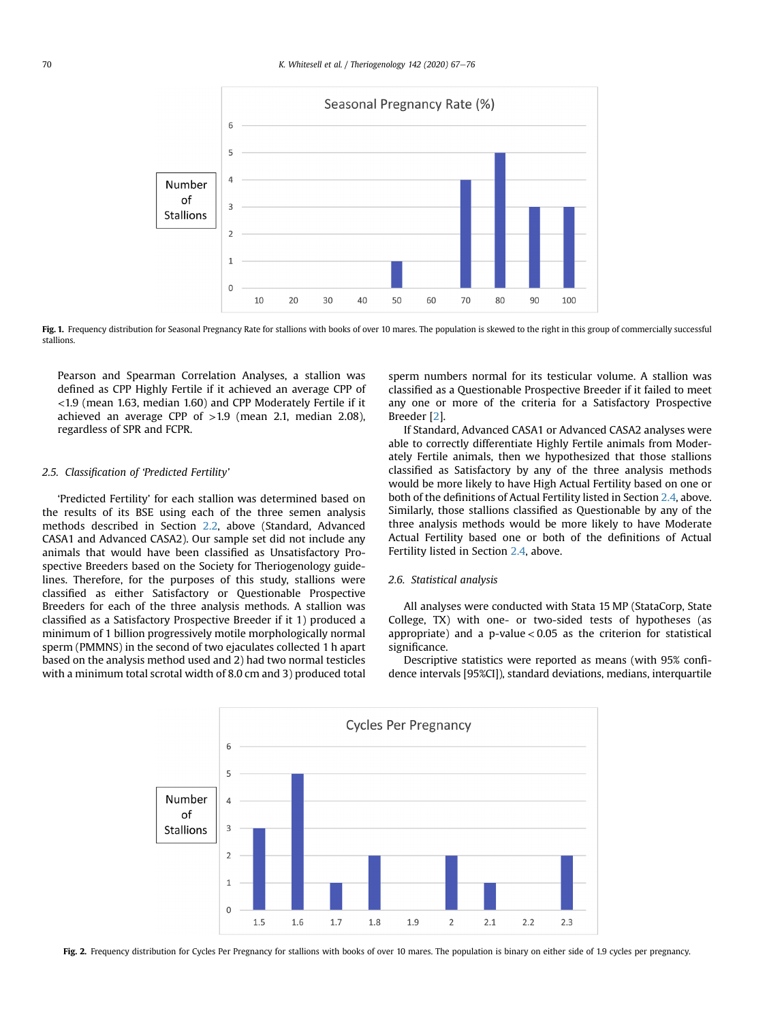<span id="page-3-0"></span>

Fig. 1. Frequency distribution for Seasonal Pregnancy Rate for stallions with books of over 10 mares. The population is skewed to the right in this group of commercially successful stallions.

Pearson and Spearman Correlation Analyses, a stallion was defined as CPP Highly Fertile if it achieved an average CPP of <1.9 (mean 1.63, median 1.60) and CPP Moderately Fertile if it achieved an average CPP of  $>1.9$  (mean 2.1, median 2.08), regardless of SPR and FCPR.

## 2.5. Classification of 'Predicted Fertility'

'Predicted Fertility' for each stallion was determined based on the results of its BSE using each of the three semen analysis methods described in Section [2.2](#page-1-0), above (Standard, Advanced CASA1 and Advanced CASA2). Our sample set did not include any animals that would have been classified as Unsatisfactory Prospective Breeders based on the Society for Theriogenology guidelines. Therefore, for the purposes of this study, stallions were classified as either Satisfactory or Questionable Prospective Breeders for each of the three analysis methods. A stallion was classified as a Satisfactory Prospective Breeder if it 1) produced a minimum of 1 billion progressively motile morphologically normal sperm (PMMNS) in the second of two ejaculates collected 1 h apart based on the analysis method used and 2) had two normal testicles with a minimum total scrotal width of 8.0 cm and 3) produced total sperm numbers normal for its testicular volume. A stallion was classified as a Questionable Prospective Breeder if it failed to meet any one or more of the criteria for a Satisfactory Prospective Breeder [[2](#page-9-0)].

If Standard, Advanced CASA1 or Advanced CASA2 analyses were able to correctly differentiate Highly Fertile animals from Moderately Fertile animals, then we hypothesized that those stallions classified as Satisfactory by any of the three analysis methods would be more likely to have High Actual Fertility based on one or both of the definitions of Actual Fertility listed in Section [2.4](#page-2-0), above. Similarly, those stallions classified as Questionable by any of the three analysis methods would be more likely to have Moderate Actual Fertility based one or both of the definitions of Actual Fertility listed in Section [2.4](#page-2-0), above.

# 2.6. Statistical analysis

All analyses were conducted with Stata 15 MP (StataCorp, State College, TX) with one- or two-sided tests of hypotheses (as appropriate) and a p-value  $< 0.05$  as the criterion for statistical significance.

Descriptive statistics were reported as means (with 95% confidence intervals [95%CI]), standard deviations, medians, interquartile



Fig. 2. Frequency distribution for Cycles Per Pregnancy for stallions with books of over 10 mares. The population is binary on either side of 1.9 cycles per pregnancy.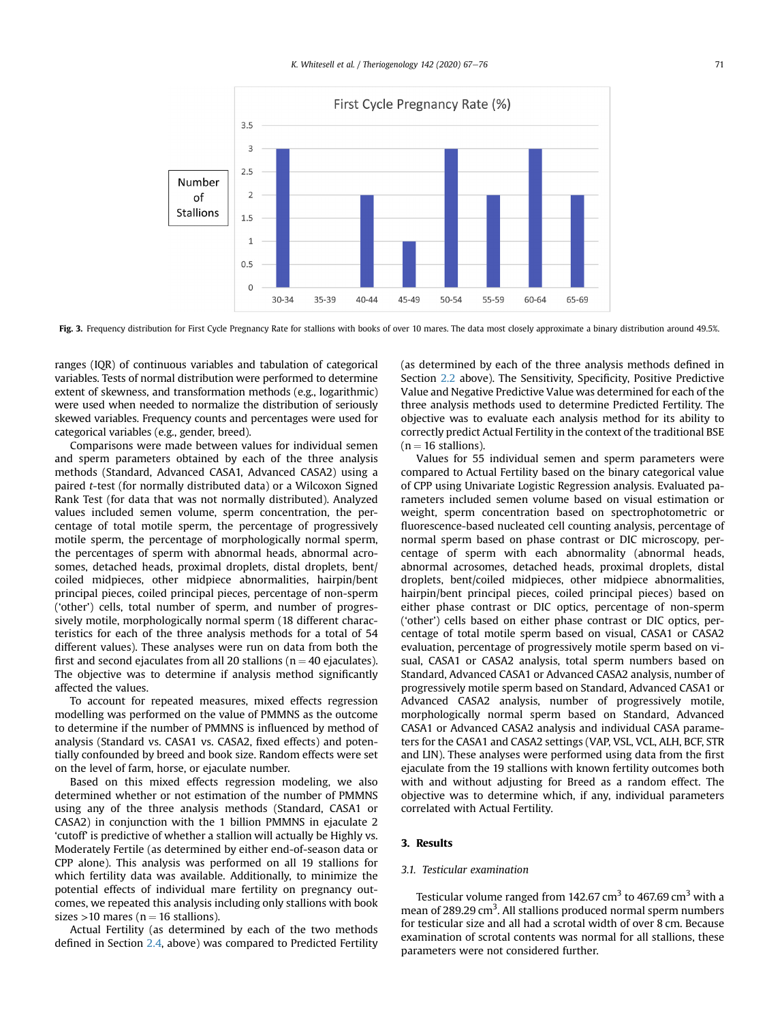<span id="page-4-0"></span>

Fig. 3. Frequency distribution for First Cycle Pregnancy Rate for stallions with books of over 10 mares. The data most closely approximate a binary distribution around 49.5%.

ranges (IQR) of continuous variables and tabulation of categorical variables. Tests of normal distribution were performed to determine extent of skewness, and transformation methods (e.g., logarithmic) were used when needed to normalize the distribution of seriously skewed variables. Frequency counts and percentages were used for categorical variables (e.g., gender, breed).

Comparisons were made between values for individual semen and sperm parameters obtained by each of the three analysis methods (Standard, Advanced CASA1, Advanced CASA2) using a paired t-test (for normally distributed data) or a Wilcoxon Signed Rank Test (for data that was not normally distributed). Analyzed values included semen volume, sperm concentration, the percentage of total motile sperm, the percentage of progressively motile sperm, the percentage of morphologically normal sperm, the percentages of sperm with abnormal heads, abnormal acrosomes, detached heads, proximal droplets, distal droplets, bent/ coiled midpieces, other midpiece abnormalities, hairpin/bent principal pieces, coiled principal pieces, percentage of non-sperm ('other') cells, total number of sperm, and number of progressively motile, morphologically normal sperm (18 different characteristics for each of the three analysis methods for a total of 54 different values). These analyses were run on data from both the first and second ejaculates from all 20 stallions ( $n = 40$  ejaculates). The objective was to determine if analysis method significantly affected the values.

To account for repeated measures, mixed effects regression modelling was performed on the value of PMMNS as the outcome to determine if the number of PMMNS is influenced by method of analysis (Standard vs. CASA1 vs. CASA2, fixed effects) and potentially confounded by breed and book size. Random effects were set on the level of farm, horse, or ejaculate number.

Based on this mixed effects regression modeling, we also determined whether or not estimation of the number of PMMNS using any of the three analysis methods (Standard, CASA1 or CASA2) in conjunction with the 1 billion PMMNS in ejaculate 2 'cutoff' is predictive of whether a stallion will actually be Highly vs. Moderately Fertile (as determined by either end-of-season data or CPP alone). This analysis was performed on all 19 stallions for which fertility data was available. Additionally, to minimize the potential effects of individual mare fertility on pregnancy outcomes, we repeated this analysis including only stallions with book sizes >10 mares ( $n = 16$  stallions).

Actual Fertility (as determined by each of the two methods defined in Section [2.4](#page-2-0), above) was compared to Predicted Fertility (as determined by each of the three analysis methods defined in Section [2.2](#page-1-0) above). The Sensitivity, Specificity, Positive Predictive Value and Negative Predictive Value was determined for each of the three analysis methods used to determine Predicted Fertility. The objective was to evaluate each analysis method for its ability to correctly predict Actual Fertility in the context of the traditional BSE  $(n = 16$  stallions).

Values for 55 individual semen and sperm parameters were compared to Actual Fertility based on the binary categorical value of CPP using Univariate Logistic Regression analysis. Evaluated parameters included semen volume based on visual estimation or weight, sperm concentration based on spectrophotometric or fluorescence-based nucleated cell counting analysis, percentage of normal sperm based on phase contrast or DIC microscopy, percentage of sperm with each abnormality (abnormal heads, abnormal acrosomes, detached heads, proximal droplets, distal droplets, bent/coiled midpieces, other midpiece abnormalities, hairpin/bent principal pieces, coiled principal pieces) based on either phase contrast or DIC optics, percentage of non-sperm ('other') cells based on either phase contrast or DIC optics, percentage of total motile sperm based on visual, CASA1 or CASA2 evaluation, percentage of progressively motile sperm based on visual, CASA1 or CASA2 analysis, total sperm numbers based on Standard, Advanced CASA1 or Advanced CASA2 analysis, number of progressively motile sperm based on Standard, Advanced CASA1 or Advanced CASA2 analysis, number of progressively motile, morphologically normal sperm based on Standard, Advanced CASA1 or Advanced CASA2 analysis and individual CASA parameters for the CASA1 and CASA2 settings (VAP, VSL, VCL, ALH, BCF, STR and LIN). These analyses were performed using data from the first ejaculate from the 19 stallions with known fertility outcomes both with and without adjusting for Breed as a random effect. The objective was to determine which, if any, individual parameters correlated with Actual Fertility.

# 3. Results

#### 3.1. Testicular examination

Testicular volume ranged from 142.67 cm<sup>3</sup> to 467.69 cm<sup>3</sup> with a mean of 289.29 cm<sup>3</sup>. All stallions produced normal sperm numbers for testicular size and all had a scrotal width of over 8 cm. Because examination of scrotal contents was normal for all stallions, these parameters were not considered further.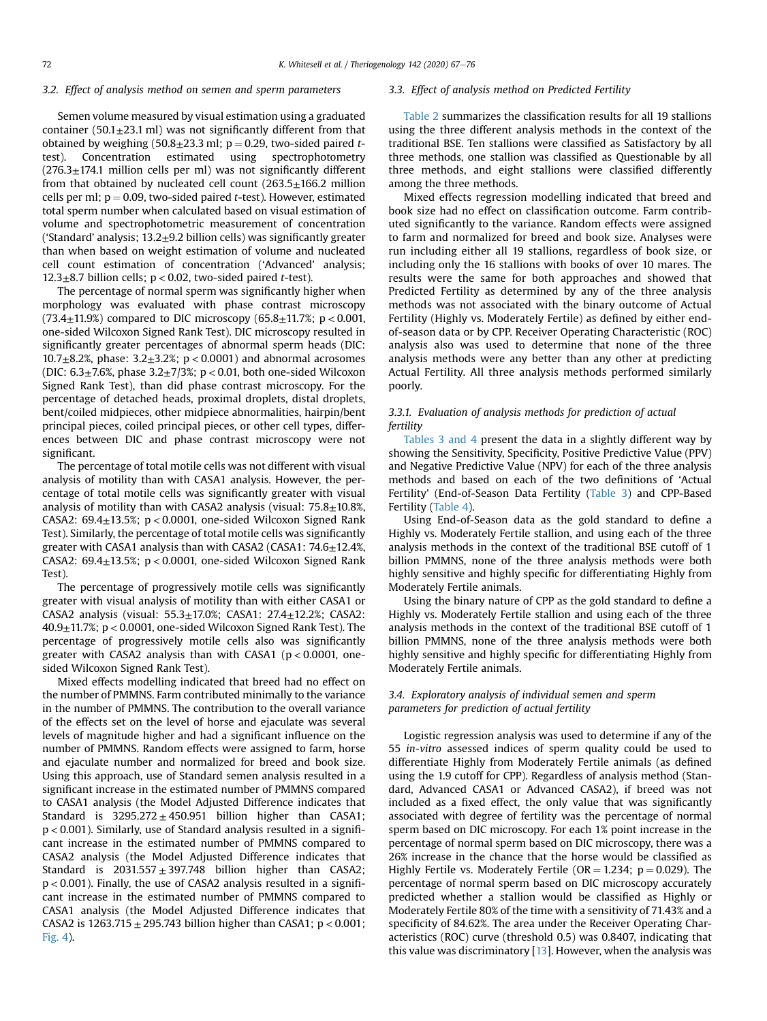## 3.2. Effect of analysis method on semen and sperm parameters

Semen volume measured by visual estimation using a graduated container (50.1 $\pm$ 23.1 ml) was not significantly different from that obtained by weighing (50.8 $\pm$ 23.3 ml; p = 0.29, two-sided paired ttest). Concentration estimated using spectrophotometry  $(276.3 \pm 174.1$  million cells per ml) was not significantly different from that obtained by nucleated cell count  $(263.5+166.2 \text{ million})$ cells per ml;  $p = 0.09$ , two-sided paired t-test). However, estimated total sperm number when calculated based on visual estimation of volume and spectrophotometric measurement of concentration ('Standard' analysis;  $13.2 \pm 9.2$  billion cells) was significantly greater than when based on weight estimation of volume and nucleated cell count estimation of concentration ('Advanced' analysis; 12.3 $\pm$ 8.7 billion cells; p < 0.02, two-sided paired t-test).

The percentage of normal sperm was significantly higher when morphology was evaluated with phase contrast microscopy (73.4 $\pm$ 11.9%) compared to DIC microscopy (65.8 $\pm$ 11.7%; p < 0.001, one-sided Wilcoxon Signed Rank Test). DIC microscopy resulted in significantly greater percentages of abnormal sperm heads (DIC: 10.7 $\pm$ 8.2%, phase: 3.2 $\pm$ 3.2%; p < 0.0001) and abnormal acrosomes (DIC:  $6.3\pm7.6$ %, phase  $3.2\pm7/3$ %; p < 0.01, both one-sided Wilcoxon Signed Rank Test), than did phase contrast microscopy. For the percentage of detached heads, proximal droplets, distal droplets, bent/coiled midpieces, other midpiece abnormalities, hairpin/bent principal pieces, coiled principal pieces, or other cell types, differences between DIC and phase contrast microscopy were not significant.

The percentage of total motile cells was not different with visual analysis of motility than with CASA1 analysis. However, the percentage of total motile cells was significantly greater with visual analysis of motility than with CASA2 analysis (visual:  $75.8 \pm 10.8$ %, CASA2:  $69.4 \pm 13.5$ %;  $p < 0.0001$ , one-sided Wilcoxon Signed Rank Test). Similarly, the percentage of total motile cells was significantly greater with CASA1 analysis than with CASA2 (CASA1:  $74.6 \pm 12.4\%$ , CASA2:  $69.4 \pm 13.5$ %;  $p < 0.0001$ , one-sided Wilcoxon Signed Rank Test).

The percentage of progressively motile cells was significantly greater with visual analysis of motility than with either CASA1 or CASA2 analysis (visual: 55.3±17.0%; CASA1: 27.4±12.2%; CASA2: 40.9±11.7%; p < 0.0001, one-sided Wilcoxon Signed Rank Test). The percentage of progressively motile cells also was significantly greater with CASA2 analysis than with CASA1 ( $p < 0.0001$ , onesided Wilcoxon Signed Rank Test).

Mixed effects modelling indicated that breed had no effect on the number of PMMNS. Farm contributed minimally to the variance in the number of PMMNS. The contribution to the overall variance of the effects set on the level of horse and ejaculate was several levels of magnitude higher and had a significant influence on the number of PMMNS. Random effects were assigned to farm, horse and ejaculate number and normalized for breed and book size. Using this approach, use of Standard semen analysis resulted in a significant increase in the estimated number of PMMNS compared to CASA1 analysis (the Model Adjusted Difference indicates that Standard is  $3295.272 \pm 450.951$  billion higher than CASA1;  $p < 0.001$ ). Similarly, use of Standard analysis resulted in a significant increase in the estimated number of PMMNS compared to CASA2 analysis (the Model Adjusted Difference indicates that Standard is  $2031.557 \pm 397.748$  billion higher than CASA2;  $p < 0.001$ ). Finally, the use of CASA2 analysis resulted in a significant increase in the estimated number of PMMNS compared to CASA1 analysis (the Model Adjusted Difference indicates that CASA2 is  $1263.715 \pm 295.743$  billion higher than CASA1;  $p < 0.001$ ; [Fig. 4\)](#page-6-0).

## 3.3. Effect of analysis method on Predicted Fertility

[Table 2](#page-6-0) summarizes the classification results for all 19 stallions using the three different analysis methods in the context of the traditional BSE. Ten stallions were classified as Satisfactory by all three methods, one stallion was classified as Questionable by all three methods, and eight stallions were classified differently among the three methods.

Mixed effects regression modelling indicated that breed and book size had no effect on classification outcome. Farm contributed significantly to the variance. Random effects were assigned to farm and normalized for breed and book size. Analyses were run including either all 19 stallions, regardless of book size, or including only the 16 stallions with books of over 10 mares. The results were the same for both approaches and showed that Predicted Fertility as determined by any of the three analysis methods was not associated with the binary outcome of Actual Fertility (Highly vs. Moderately Fertile) as defined by either endof-season data or by CPP. Receiver Operating Characteristic (ROC) analysis also was used to determine that none of the three analysis methods were any better than any other at predicting Actual Fertility. All three analysis methods performed similarly poorly.

# 3.3.1. Evaluation of analysis methods for prediction of actual fertility

[Tables 3 and 4](#page-7-0) present the data in a slightly different way by showing the Sensitivity, Specificity, Positive Predictive Value (PPV) and Negative Predictive Value (NPV) for each of the three analysis methods and based on each of the two definitions of 'Actual Fertility' (End-of-Season Data Fertility [\(Table 3](#page-7-0)) and CPP-Based Fertility ([Table 4\)](#page-7-0).

Using End-of-Season data as the gold standard to define a Highly vs. Moderately Fertile stallion, and using each of the three analysis methods in the context of the traditional BSE cutoff of 1 billion PMMNS, none of the three analysis methods were both highly sensitive and highly specific for differentiating Highly from Moderately Fertile animals.

Using the binary nature of CPP as the gold standard to define a Highly vs. Moderately Fertile stallion and using each of the three analysis methods in the context of the traditional BSE cutoff of 1 billion PMMNS, none of the three analysis methods were both highly sensitive and highly specific for differentiating Highly from Moderately Fertile animals.

# 3.4. Exploratory analysis of individual semen and sperm parameters for prediction of actual fertility

Logistic regression analysis was used to determine if any of the 55 in-vitro assessed indices of sperm quality could be used to differentiate Highly from Moderately Fertile animals (as defined using the 1.9 cutoff for CPP). Regardless of analysis method (Standard, Advanced CASA1 or Advanced CASA2), if breed was not included as a fixed effect, the only value that was significantly associated with degree of fertility was the percentage of normal sperm based on DIC microscopy. For each 1% point increase in the percentage of normal sperm based on DIC microscopy, there was a 26% increase in the chance that the horse would be classified as Highly Fertile vs. Moderately Fertile (OR = 1.234;  $p = 0.029$ ). The percentage of normal sperm based on DIC microscopy accurately predicted whether a stallion would be classified as Highly or Moderately Fertile 80% of the time with a sensitivity of 71.43% and a specificity of 84.62%. The area under the Receiver Operating Characteristics (ROC) curve (threshold 0.5) was 0.8407, indicating that this value was discriminatory [\[13](#page-9-0)]. However, when the analysis was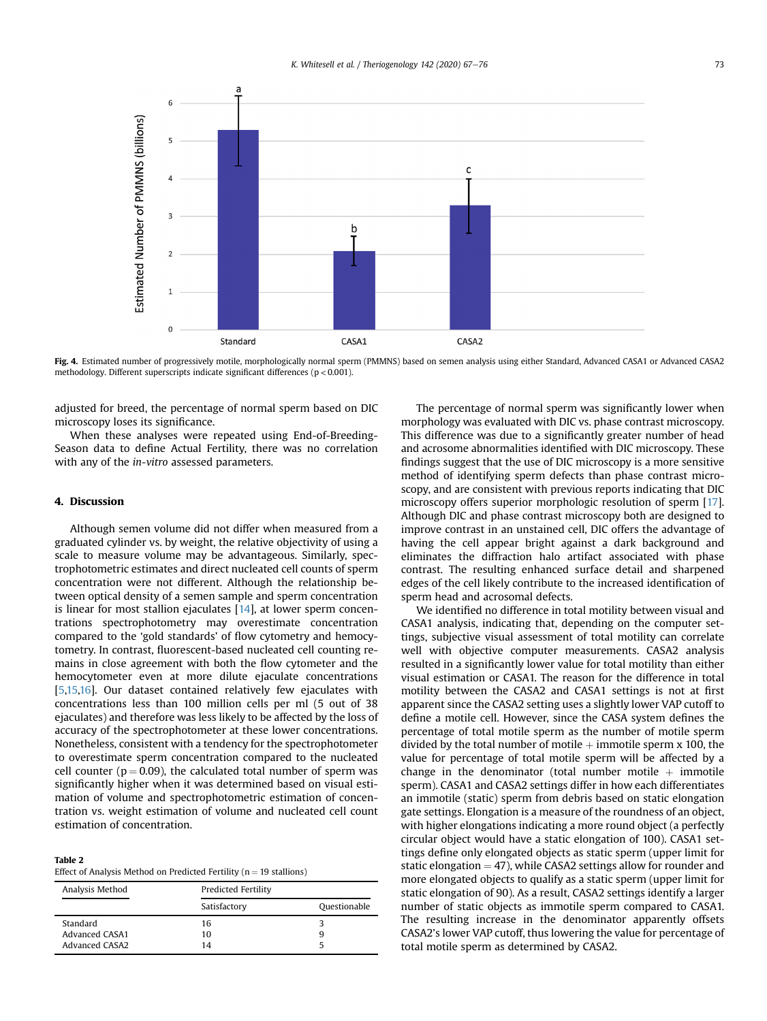<span id="page-6-0"></span>

Fig. 4. Estimated number of progressively motile, morphologically normal sperm (PMMNS) based on semen analysis using either Standard, Advanced CASA1 or Advanced CASA2 methodology. Different superscripts indicate significant differences ( $p < 0.001$ ).

adjusted for breed, the percentage of normal sperm based on DIC microscopy loses its significance.

When these analyses were repeated using End-of-Breeding-Season data to define Actual Fertility, there was no correlation with any of the *in-vitro* assessed parameters.

# 4. Discussion

Although semen volume did not differ when measured from a graduated cylinder vs. by weight, the relative objectivity of using a scale to measure volume may be advantageous. Similarly, spectrophotometric estimates and direct nucleated cell counts of sperm concentration were not different. Although the relationship between optical density of a semen sample and sperm concentration is linear for most stallion ejaculates  $[14]$  $[14]$ , at lower sperm concentrations spectrophotometry may overestimate concentration compared to the 'gold standards' of flow cytometry and hemocytometry. In contrast, fluorescent-based nucleated cell counting remains in close agreement with both the flow cytometer and the hemocytometer even at more dilute ejaculate concentrations [\[5,15,16\]](#page-9-0). Our dataset contained relatively few ejaculates with concentrations less than 100 million cells per ml (5 out of 38 ejaculates) and therefore was less likely to be affected by the loss of accuracy of the spectrophotometer at these lower concentrations. Nonetheless, consistent with a tendency for the spectrophotometer to overestimate sperm concentration compared to the nucleated cell counter ( $p = 0.09$ ), the calculated total number of sperm was significantly higher when it was determined based on visual estimation of volume and spectrophotometric estimation of concentration vs. weight estimation of volume and nucleated cell count estimation of concentration.

## Table 2

Effect of Analysis Method on Predicted Fertility ( $n = 19$  stallions)

| Analysis Method | Predicted Fertility |              |  |  |
|-----------------|---------------------|--------------|--|--|
|                 | Satisfactory        | Questionable |  |  |
| Standard        | 16                  |              |  |  |
| Advanced CASA1  | 10                  | q            |  |  |
| Advanced CASA2  | 14                  |              |  |  |

The percentage of normal sperm was significantly lower when morphology was evaluated with DIC vs. phase contrast microscopy. This difference was due to a significantly greater number of head and acrosome abnormalities identified with DIC microscopy. These findings suggest that the use of DIC microscopy is a more sensitive method of identifying sperm defects than phase contrast microscopy, and are consistent with previous reports indicating that DIC microscopy offers superior morphologic resolution of sperm [\[17\]](#page-9-0). Although DIC and phase contrast microscopy both are designed to improve contrast in an unstained cell, DIC offers the advantage of having the cell appear bright against a dark background and eliminates the diffraction halo artifact associated with phase contrast. The resulting enhanced surface detail and sharpened edges of the cell likely contribute to the increased identification of sperm head and acrosomal defects.

We identified no difference in total motility between visual and CASA1 analysis, indicating that, depending on the computer settings, subjective visual assessment of total motility can correlate well with objective computer measurements. CASA2 analysis resulted in a significantly lower value for total motility than either visual estimation or CASA1. The reason for the difference in total motility between the CASA2 and CASA1 settings is not at first apparent since the CASA2 setting uses a slightly lower VAP cutoff to define a motile cell. However, since the CASA system defines the percentage of total motile sperm as the number of motile sperm divided by the total number of motile  $+$  immotile sperm x 100, the value for percentage of total motile sperm will be affected by a change in the denominator (total number motile  $+$  immotile sperm). CASA1 and CASA2 settings differ in how each differentiates an immotile (static) sperm from debris based on static elongation gate settings. Elongation is a measure of the roundness of an object, with higher elongations indicating a more round object (a perfectly circular object would have a static elongation of 100). CASA1 settings define only elongated objects as static sperm (upper limit for static elongation  $=$  47), while CASA2 settings allow for rounder and more elongated objects to qualify as a static sperm (upper limit for static elongation of 90). As a result, CASA2 settings identify a larger number of static objects as immotile sperm compared to CASA1. The resulting increase in the denominator apparently offsets CASA2's lower VAP cutoff, thus lowering the value for percentage of total motile sperm as determined by CASA2.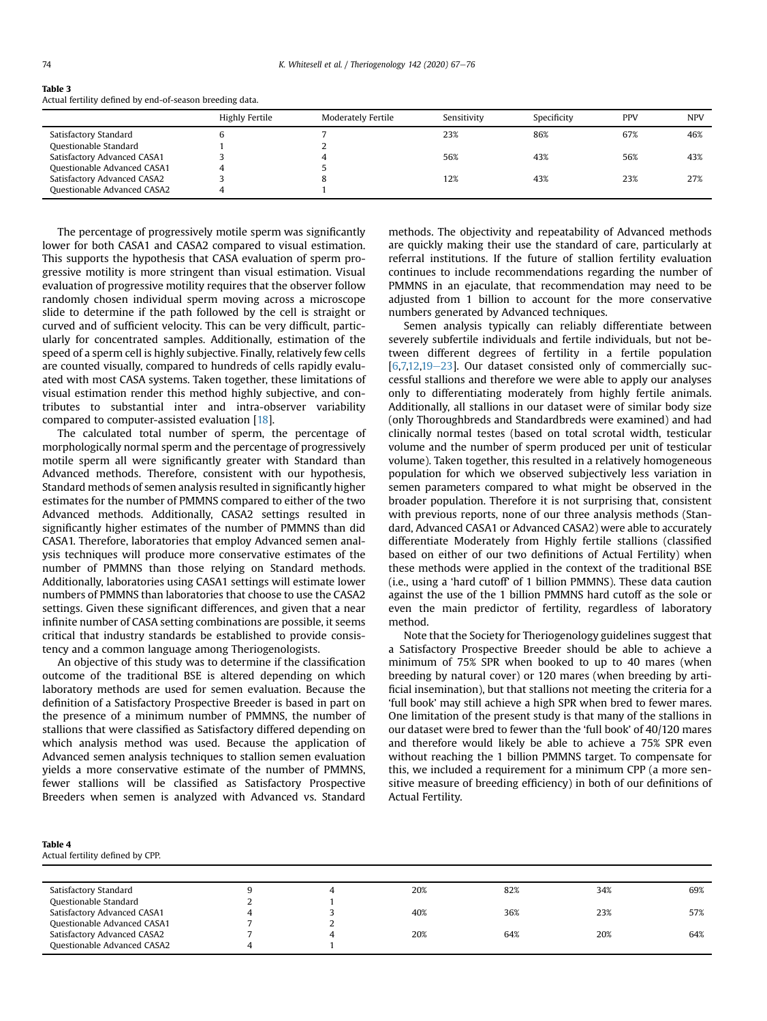<span id="page-7-0"></span>

| Table 3                                                  |  |
|----------------------------------------------------------|--|
| Actual fertility defined by end-of-season breeding data. |  |

|                             | Highly Fertile | Moderately Fertile | Sensitivity | Specificity | <b>PPV</b> | <b>NPV</b> |
|-----------------------------|----------------|--------------------|-------------|-------------|------------|------------|
| Satisfactory Standard       |                |                    | 23%         | 86%         | 67%        | 46%        |
| Questionable Standard       |                |                    |             |             |            |            |
| Satisfactory Advanced CASA1 |                |                    | 56%         | 43%         | 56%        | 43%        |
| Questionable Advanced CASA1 |                |                    |             |             |            |            |
| Satisfactory Advanced CASA2 |                |                    | 12%         | 43%         | 23%        | 27%        |
| Questionable Advanced CASA2 |                |                    |             |             |            |            |

The percentage of progressively motile sperm was significantly lower for both CASA1 and CASA2 compared to visual estimation. This supports the hypothesis that CASA evaluation of sperm progressive motility is more stringent than visual estimation. Visual evaluation of progressive motility requires that the observer follow randomly chosen individual sperm moving across a microscope slide to determine if the path followed by the cell is straight or curved and of sufficient velocity. This can be very difficult, particularly for concentrated samples. Additionally, estimation of the speed of a sperm cell is highly subjective. Finally, relatively few cells are counted visually, compared to hundreds of cells rapidly evaluated with most CASA systems. Taken together, these limitations of visual estimation render this method highly subjective, and contributes to substantial inter and intra-observer variability compared to computer-assisted evaluation [[18\]](#page-9-0).

The calculated total number of sperm, the percentage of morphologically normal sperm and the percentage of progressively motile sperm all were significantly greater with Standard than Advanced methods. Therefore, consistent with our hypothesis, Standard methods of semen analysis resulted in significantly higher estimates for the number of PMMNS compared to either of the two Advanced methods. Additionally, CASA2 settings resulted in significantly higher estimates of the number of PMMNS than did CASA1. Therefore, laboratories that employ Advanced semen analysis techniques will produce more conservative estimates of the number of PMMNS than those relying on Standard methods. Additionally, laboratories using CASA1 settings will estimate lower numbers of PMMNS than laboratories that choose to use the CASA2 settings. Given these significant differences, and given that a near infinite number of CASA setting combinations are possible, it seems critical that industry standards be established to provide consistency and a common language among Theriogenologists.

An objective of this study was to determine if the classification outcome of the traditional BSE is altered depending on which laboratory methods are used for semen evaluation. Because the definition of a Satisfactory Prospective Breeder is based in part on the presence of a minimum number of PMMNS, the number of stallions that were classified as Satisfactory differed depending on which analysis method was used. Because the application of Advanced semen analysis techniques to stallion semen evaluation yields a more conservative estimate of the number of PMMNS, fewer stallions will be classified as Satisfactory Prospective Breeders when semen is analyzed with Advanced vs. Standard methods. The objectivity and repeatability of Advanced methods are quickly making their use the standard of care, particularly at referral institutions. If the future of stallion fertility evaluation continues to include recommendations regarding the number of PMMNS in an ejaculate, that recommendation may need to be adjusted from 1 billion to account for the more conservative numbers generated by Advanced techniques.

Semen analysis typically can reliably differentiate between severely subfertile individuals and fertile individuals, but not between different degrees of fertility in a fertile population [[6,7,12,19](#page-9-0) $-23$ ]. Our dataset consisted only of commercially successful stallions and therefore we were able to apply our analyses only to differentiating moderately from highly fertile animals. Additionally, all stallions in our dataset were of similar body size (only Thoroughbreds and Standardbreds were examined) and had clinically normal testes (based on total scrotal width, testicular volume and the number of sperm produced per unit of testicular volume). Taken together, this resulted in a relatively homogeneous population for which we observed subjectively less variation in semen parameters compared to what might be observed in the broader population. Therefore it is not surprising that, consistent with previous reports, none of our three analysis methods (Standard, Advanced CASA1 or Advanced CASA2) were able to accurately differentiate Moderately from Highly fertile stallions (classified based on either of our two definitions of Actual Fertility) when these methods were applied in the context of the traditional BSE (i.e., using a 'hard cutoff' of 1 billion PMMNS). These data caution against the use of the 1 billion PMMNS hard cutoff as the sole or even the main predictor of fertility, regardless of laboratory method.

Note that the Society for Theriogenology guidelines suggest that a Satisfactory Prospective Breeder should be able to achieve a minimum of 75% SPR when booked to up to 40 mares (when breeding by natural cover) or 120 mares (when breeding by artificial insemination), but that stallions not meeting the criteria for a 'full book' may still achieve a high SPR when bred to fewer mares. One limitation of the present study is that many of the stallions in our dataset were bred to fewer than the 'full book' of 40/120 mares and therefore would likely be able to achieve a 75% SPR even without reaching the 1 billion PMMNS target. To compensate for this, we included a requirement for a minimum CPP (a more sensitive measure of breeding efficiency) in both of our definitions of Actual Fertility.

## Table 4

Actual fertility defined by CPP.

| Satisfactory Standard              |  | 20% | 82% | 34% | 69% |
|------------------------------------|--|-----|-----|-----|-----|
| Questionable Standard              |  |     |     |     |     |
| Satisfactory Advanced CASA1        |  | 40% | 36% | 23% | 57% |
| <b>Questionable Advanced CASA1</b> |  |     |     |     |     |
| Satisfactory Advanced CASA2        |  | 20% | 64% | 20% | 64% |
| Questionable Advanced CASA2        |  |     |     |     |     |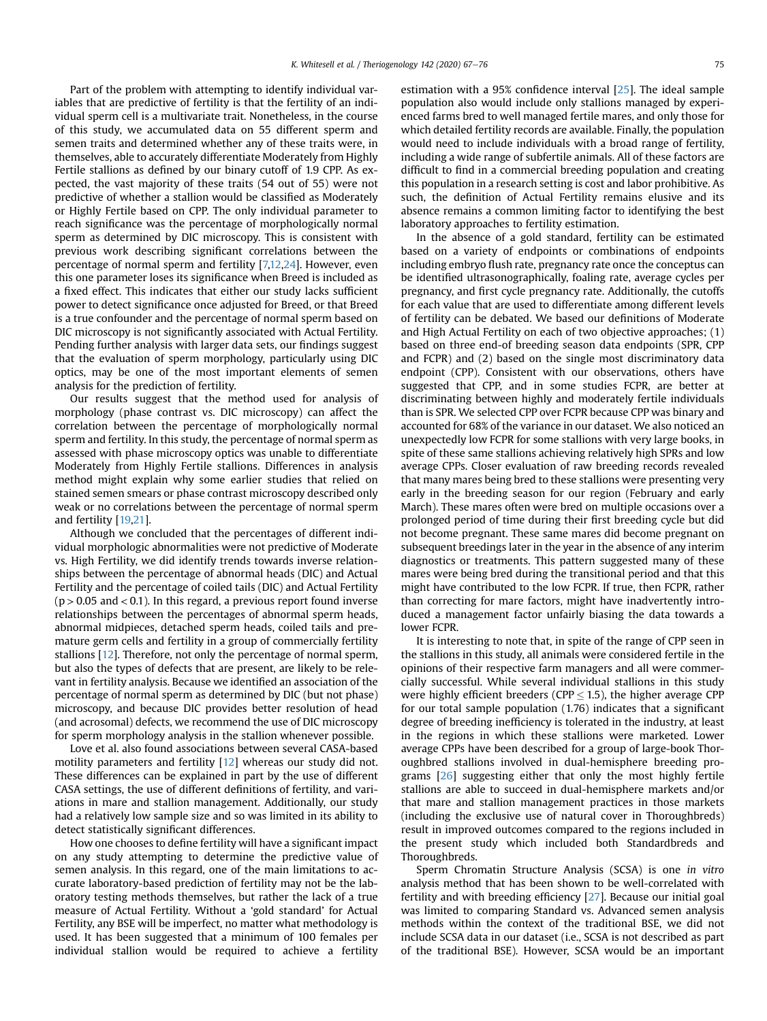Part of the problem with attempting to identify individual variables that are predictive of fertility is that the fertility of an individual sperm cell is a multivariate trait. Nonetheless, in the course of this study, we accumulated data on 55 different sperm and semen traits and determined whether any of these traits were, in themselves, able to accurately differentiate Moderately from Highly Fertile stallions as defined by our binary cutoff of 1.9 CPP. As expected, the vast majority of these traits (54 out of 55) were not predictive of whether a stallion would be classified as Moderately or Highly Fertile based on CPP. The only individual parameter to reach significance was the percentage of morphologically normal sperm as determined by DIC microscopy. This is consistent with previous work describing significant correlations between the percentage of normal sperm and fertility [\[7,12,24\]](#page-9-0). However, even this one parameter loses its significance when Breed is included as a fixed effect. This indicates that either our study lacks sufficient power to detect significance once adjusted for Breed, or that Breed is a true confounder and the percentage of normal sperm based on DIC microscopy is not significantly associated with Actual Fertility. Pending further analysis with larger data sets, our findings suggest that the evaluation of sperm morphology, particularly using DIC optics, may be one of the most important elements of semen analysis for the prediction of fertility.

Our results suggest that the method used for analysis of morphology (phase contrast vs. DIC microscopy) can affect the correlation between the percentage of morphologically normal sperm and fertility. In this study, the percentage of normal sperm as assessed with phase microscopy optics was unable to differentiate Moderately from Highly Fertile stallions. Differences in analysis method might explain why some earlier studies that relied on stained semen smears or phase contrast microscopy described only weak or no correlations between the percentage of normal sperm and fertility [[19,21\]](#page-9-0).

Although we concluded that the percentages of different individual morphologic abnormalities were not predictive of Moderate vs. High Fertility, we did identify trends towards inverse relationships between the percentage of abnormal heads (DIC) and Actual Fertility and the percentage of coiled tails (DIC) and Actual Fertility  $(p > 0.05$  and  $< 0.1$ ). In this regard, a previous report found inverse relationships between the percentages of abnormal sperm heads, abnormal midpieces, detached sperm heads, coiled tails and premature germ cells and fertility in a group of commercially fertility stallions [\[12](#page-9-0)]. Therefore, not only the percentage of normal sperm, but also the types of defects that are present, are likely to be relevant in fertility analysis. Because we identified an association of the percentage of normal sperm as determined by DIC (but not phase) microscopy, and because DIC provides better resolution of head (and acrosomal) defects, we recommend the use of DIC microscopy for sperm morphology analysis in the stallion whenever possible.

Love et al. also found associations between several CASA-based motility parameters and fertility [\[12](#page-9-0)] whereas our study did not. These differences can be explained in part by the use of different CASA settings, the use of different definitions of fertility, and variations in mare and stallion management. Additionally, our study had a relatively low sample size and so was limited in its ability to detect statistically significant differences.

How one chooses to define fertility will have a significant impact on any study attempting to determine the predictive value of semen analysis. In this regard, one of the main limitations to accurate laboratory-based prediction of fertility may not be the laboratory testing methods themselves, but rather the lack of a true measure of Actual Fertility. Without a 'gold standard' for Actual Fertility, any BSE will be imperfect, no matter what methodology is used. It has been suggested that a minimum of 100 females per individual stallion would be required to achieve a fertility

estimation with a 95% confidence interval [[25](#page-9-0)]. The ideal sample population also would include only stallions managed by experienced farms bred to well managed fertile mares, and only those for which detailed fertility records are available. Finally, the population would need to include individuals with a broad range of fertility, including a wide range of subfertile animals. All of these factors are difficult to find in a commercial breeding population and creating this population in a research setting is cost and labor prohibitive. As such, the definition of Actual Fertility remains elusive and its absence remains a common limiting factor to identifying the best laboratory approaches to fertility estimation.

In the absence of a gold standard, fertility can be estimated based on a variety of endpoints or combinations of endpoints including embryo flush rate, pregnancy rate once the conceptus can be identified ultrasonographically, foaling rate, average cycles per pregnancy, and first cycle pregnancy rate. Additionally, the cutoffs for each value that are used to differentiate among different levels of fertility can be debated. We based our definitions of Moderate and High Actual Fertility on each of two objective approaches; (1) based on three end-of breeding season data endpoints (SPR, CPP and FCPR) and (2) based on the single most discriminatory data endpoint (CPP). Consistent with our observations, others have suggested that CPP, and in some studies FCPR, are better at discriminating between highly and moderately fertile individuals than is SPR. We selected CPP over FCPR because CPP was binary and accounted for 68% of the variance in our dataset. We also noticed an unexpectedly low FCPR for some stallions with very large books, in spite of these same stallions achieving relatively high SPRs and low average CPPs. Closer evaluation of raw breeding records revealed that many mares being bred to these stallions were presenting very early in the breeding season for our region (February and early March). These mares often were bred on multiple occasions over a prolonged period of time during their first breeding cycle but did not become pregnant. These same mares did become pregnant on subsequent breedings later in the year in the absence of any interim diagnostics or treatments. This pattern suggested many of these mares were being bred during the transitional period and that this might have contributed to the low FCPR. If true, then FCPR, rather than correcting for mare factors, might have inadvertently introduced a management factor unfairly biasing the data towards a lower FCPR.

It is interesting to note that, in spite of the range of CPP seen in the stallions in this study, all animals were considered fertile in the opinions of their respective farm managers and all were commercially successful. While several individual stallions in this study were highly efficient breeders (CPP  $\leq$  1.5), the higher average CPP for our total sample population (1.76) indicates that a significant degree of breeding inefficiency is tolerated in the industry, at least in the regions in which these stallions were marketed. Lower average CPPs have been described for a group of large-book Thoroughbred stallions involved in dual-hemisphere breeding programs [\[26\]](#page-9-0) suggesting either that only the most highly fertile stallions are able to succeed in dual-hemisphere markets and/or that mare and stallion management practices in those markets (including the exclusive use of natural cover in Thoroughbreds) result in improved outcomes compared to the regions included in the present study which included both Standardbreds and Thoroughbreds.

Sperm Chromatin Structure Analysis (SCSA) is one in vitro analysis method that has been shown to be well-correlated with fertility and with breeding efficiency [[27](#page-9-0)]. Because our initial goal was limited to comparing Standard vs. Advanced semen analysis methods within the context of the traditional BSE, we did not include SCSA data in our dataset (i.e., SCSA is not described as part of the traditional BSE). However, SCSA would be an important